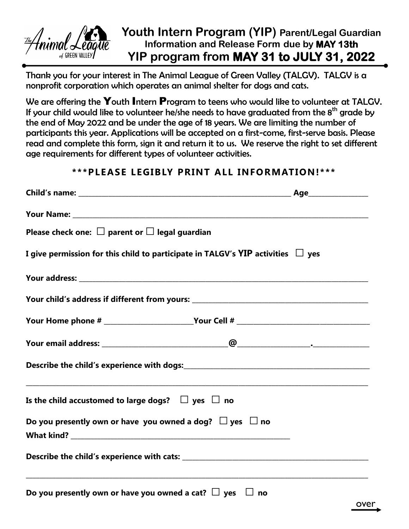

## **Youth Intern Program (YIP) Parent/Legal Guardian Information and Release Form due by MAY 13th YIP program from MAY 31 to JULY 31, 2022**

Thank you for your interest in The Animal League of Green Valley (TALGV). TALGV is a nonprofit corporation which operates an animal shelter for dogs and cats.

We are offering the Youth Intern Program to teens who would like to volunteer at TALGV. If your child would like to volunteer he/she needs to have graduated from the  $8<sup>th</sup>$  grade by the end of May 2022 and be under the age of 18 years. We are limiting the number of participants this year. Applications will be accepted on a first-come, first-serve basis. Please read and complete this form, sign it and return it to us. We reserve the right to set different age requirements for different types of volunteer activities.

## **\*\*\*PLEASE LEGIBLY PRINT ALL INFORMATION!\*\*\***

| Please check one: $\square$ parent or $\square$ legal guardian                       |  |
|--------------------------------------------------------------------------------------|--|
| I give permission for this child to participate in TALGV's YIP activities $\Box$ yes |  |
|                                                                                      |  |
|                                                                                      |  |
|                                                                                      |  |
|                                                                                      |  |
|                                                                                      |  |
| Is the child accustomed to large dogs? $\Box$ yes $\Box$ no                          |  |
| Do you presently own or have you owned a dog? $\Box$ yes $\Box$ no                   |  |
|                                                                                      |  |
| Do you presently own or have you owned a cat? $\Box$ yes $\Box$ no                   |  |

over